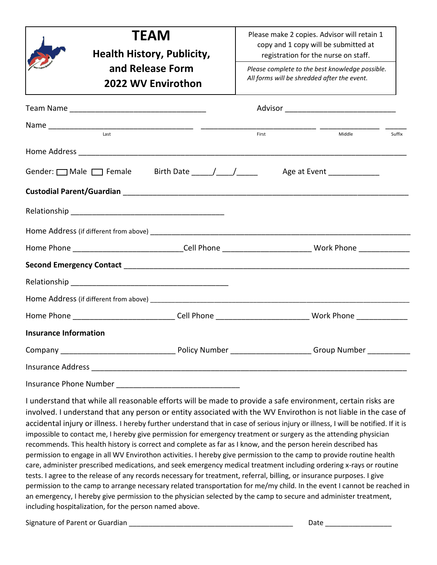|                              | <b>TEAM</b>                                                                                                    | Please make 2 copies. Advisor will retain 1<br>copy and 1 copy will be submitted at<br>registration for the nurse on staff.<br>Please complete to the best knowledge possible. |                            |        |
|------------------------------|----------------------------------------------------------------------------------------------------------------|--------------------------------------------------------------------------------------------------------------------------------------------------------------------------------|----------------------------|--------|
|                              | <b>Health History, Publicity,</b>                                                                              |                                                                                                                                                                                |                            |        |
|                              | and Release Form                                                                                               |                                                                                                                                                                                |                            |        |
|                              | 2022 WV Envirothon                                                                                             | All forms will be shredded after the event.                                                                                                                                    |                            |        |
|                              |                                                                                                                |                                                                                                                                                                                |                            |        |
|                              |                                                                                                                |                                                                                                                                                                                |                            |        |
|                              |                                                                                                                | First                                                                                                                                                                          | Middle                     | Suffix |
|                              |                                                                                                                |                                                                                                                                                                                |                            |        |
|                              | Gender: Male Female Birth Date 11.12                                                                           |                                                                                                                                                                                | Age at Event _____________ |        |
|                              |                                                                                                                |                                                                                                                                                                                |                            |        |
|                              |                                                                                                                |                                                                                                                                                                                |                            |        |
|                              |                                                                                                                |                                                                                                                                                                                |                            |        |
|                              | Home Phone ________________________________Cell Phone ____________________________ Work Phone _______________  |                                                                                                                                                                                |                            |        |
|                              |                                                                                                                |                                                                                                                                                                                |                            |        |
|                              |                                                                                                                |                                                                                                                                                                                |                            |        |
|                              |                                                                                                                |                                                                                                                                                                                |                            |        |
|                              | Home Phone ________________________________Cell Phone ________________________________Work Phone _____________ |                                                                                                                                                                                |                            |        |
| <b>Insurance Information</b> |                                                                                                                |                                                                                                                                                                                |                            |        |
|                              |                                                                                                                |                                                                                                                                                                                |                            |        |
|                              |                                                                                                                |                                                                                                                                                                                |                            |        |
| Insurance Phone Number       |                                                                                                                |                                                                                                                                                                                |                            |        |

I understand that while all reasonable efforts will be made to provide a safe environment, certain risks are involved. I understand that any person or entity associated with the WV Envirothon is not liable in the case of accidental injury or illness. I hereby further understand that in case of serious injury or illness, I will be notified. If it is impossible to contact me, I hereby give permission for emergency treatment or surgery as the attending physician recommends. This health history is correct and complete as far as I know, and the person herein described has permission to engage in all WV Envirothon activities. I hereby give permission to the camp to provide routine health care, administer prescribed medications, and seek emergency medical treatment including ordering x-rays or routine tests. I agree to the release of any records necessary for treatment, referral, billing, or insurance purposes. I give permission to the camp to arrange necessary related transportation for me/my child. In the event I cannot be reached in an emergency, I hereby give permission to the physician selected by the camp to secure and administer treatment, including hospitalization, for the person named above.

Signature of Parent or Guardian \_\_\_\_\_\_\_\_\_\_\_\_\_\_\_\_\_\_\_\_\_\_\_\_\_\_\_\_\_\_\_\_\_\_\_\_\_\_\_\_\_\_ Date \_\_\_\_\_\_\_\_\_\_\_\_\_\_\_\_\_